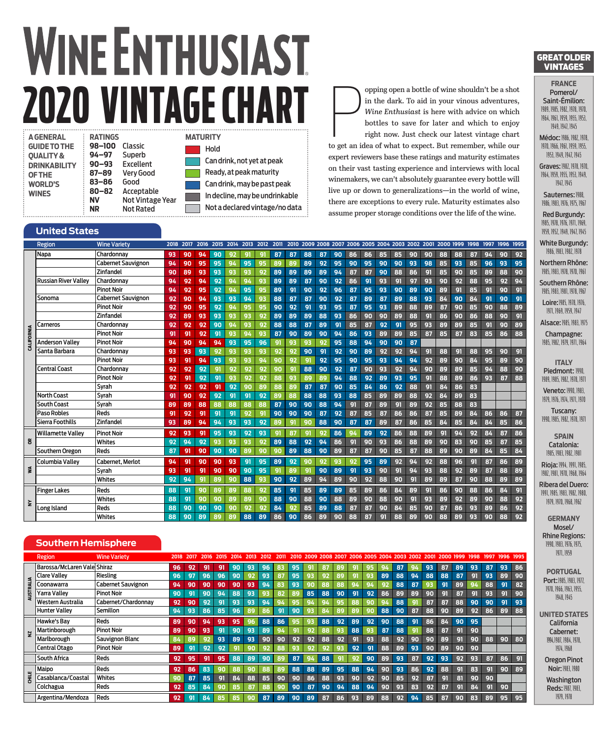# **WINE ENTHUSIAST 2020 VINTAGE CHART RATINGS MATURITY**

| <b>A GENERAL</b>     | RA |
|----------------------|----|
| <b>GUIDE TO THE</b>  | 98 |
| <b>OUALITY &amp;</b> | 94 |
| <b>DRINKABILITY</b>  | 90 |
| <b>OF THE</b>        | 87 |
| <b>WORLD'S</b>       | 83 |
| <b>WINES</b>         | 80 |
|                      | N٧ |
|                      | ΝR |

**98–100 Classic**<br>**98** Superb **94–97** Superb **93** Excellent<br>'**–89** VervGooc **87–89** Very Good **83–86** Good **80–82** Acceptable **Not Vintage Year Not Rated** 

## Hold

Can drink, not yet at peak Ready, at peak maturity Can drink, may be past peak In decline, may be undrinkable Not a declared vintage/no data

#### **United States**

|            | Region                      | <b>Wine Variety</b>       | 2018 | 2017 | 2016 | 2015 | 2014 | 2013 | 2012 | 2011 |    |    |    |    |    |    |    | 2010 2009 2008 2007 2006 2005 2004 2003 2002 |    |    | 2001 2000 1999 |    | 1998 | 1997 | 1996 | 1995 |
|------------|-----------------------------|---------------------------|------|------|------|------|------|------|------|------|----|----|----|----|----|----|----|----------------------------------------------|----|----|----------------|----|------|------|------|------|
|            | Napa                        | Chardonnay                | 93   | 90   | 94   | 90   | 92   | 91   | g    | 87   | 87 | 88 | 87 | 90 | 86 | 86 | 85 | 85                                           | 90 | 90 | 88             | 88 | 87   | 94   | 90   | 92   |
|            |                             | <b>Cabernet Sauvignon</b> | 94   | 90   | 95   | 95   | 94   | 95   | 95   | 89   | 89 | 89 | 92 | 95 | 90 | 95 | 90 | 90                                           | 93 | 98 | 85             | 93 | 85   | 96   | 93   | 95   |
|            |                             | Zinfandel                 | 90   | 89   | 93   | 93   | 93   | 93   | 92   | 89   | 89 | 89 | 89 | 94 | 87 | 87 | 90 | 88                                           | 86 | 91 | 85             | 90 | 85   | 89   | 88   | 90   |
|            | <b>Russian River Valley</b> | Chardonnav                | 94   | 92   | 94   | 92   | 94   | 94   | 93   | 89   | 89 | 87 | 90 | 92 | 86 | 91 | 93 | 91                                           | 97 | 93 | 90             | 92 | 88   | 95   | 92   | 94   |
|            |                             | <b>Pinot Noir</b>         | 94   | 92   | 95   | 92   | 94   | 95   | 95   | 89   | 91 | 90 | 92 | 96 | 87 | 95 | 93 | 90                                           | 89 | 90 | 89             | 91 | 85   | 91   | 90   | 91   |
|            | Sonoma                      | <b>Cabernet Sauvignon</b> | 92   | 90   | 94   | 93   | 93   | 94   | 93   | 88   | 87 | 87 | 90 | 92 | 87 | 89 | 87 | 89                                           | 88 | 93 | 84             | 90 | 84   | 91   | 90   | 91   |
|            |                             | <b>Pinot Noir</b>         | 92   | 90   | 95   | 92   | 94   | 95   | 95   | 90   | 92 | 91 | 93 | 95 | 87 | 95 | 93 | 89                                           | 88 | 89 | 87             | 90 | 85   | 90   | 88   | 89   |
|            |                             | Zinfandel                 | 92   | 89   | 93   | 93   | 93   | 93   | 92   | 89   | 89 | 89 | 88 | 93 | 86 | 90 | 90 | 89                                           | 88 | 91 | 86             | 90 | 86   | 88   | 90   | 91   |
|            | Iarneros                    | Chardonnay                | 92   | 92   | 92   | 90   | 94   | 93   | 92   | 88   | 88 | 87 | 89 | 91 | 85 | 87 | 92 | 91                                           | 95 | 93 | 89             | 89 | 85   | 91   | 90   | 89   |
|            |                             | <b>Pinot Noir</b>         | 91   | 91   | 92   | 91   | 93   | 94   | 93   | 87   | 90 | 89 | 90 | 94 | 86 | 93 | 89 | 89                                           | 85 | 87 | 85             | 87 | 83   | 85   | 86   | 88   |
| CALIFORNIA | <b>Anderson Valley</b>      | <b>Pinot Noir</b>         | 94   | 90   | 94   | 94   | 93   | 95   | 96   | 91   | 93 | 93 | 92 | 95 | 88 | 94 | 90 | 90                                           | 87 |    |                |    |      |      |      |      |
|            | Santa Barbara               | Chardonnay                | 93   | 93   | 93   | 92   | 93   | 93   | 93   | 92   | 92 | 90 | 91 | 92 | 90 | 89 | 92 | 92                                           | 94 | 91 | 88             | 91 | 88   | 95   | 90   | 91   |
|            |                             | <b>Pinot Noir</b>         | 93   | 91   | 94   | 93   | 93   | 93   | 94   | 90   | 92 | 91 | 92 | 95 | 90 | 95 | 93 | 94                                           | 94 | 92 | 89             | 90 | 84   | 95   | 89   | 90   |
|            | <b>Central Coast</b>        | Chardonnav                | 92   | 92   | 92   | 91   | 92   | 92   | 92   | 90   | 91 | 88 | 90 | 92 | 87 | 90 | 93 | 92                                           | 94 | 90 | 89             | 89 | 85   | 94   | 88   | 90   |
|            |                             | <b>Pinot Noir</b>         | 92   | 91   | 92   | -91  | 93   | 92   | 92   | 88   | 93 | 89 | 89 | 94 | 88 | 92 | 89 | 93                                           | 95 | 91 | 88             | 89 | 86   | 93   | 87   | 88   |
|            |                             | Svrah                     | 92   | 92   | 92   | 91   | 92   | 90   | 89   | 88   | 89 | 87 | 87 | 90 | 85 | 84 | 86 | 92                                           | 88 | 91 | 84             | 86 | 83   |      |      |      |
|            | <b>North Coast</b>          | Svrah                     | 91   | 90   | 92   | 92   | 91   | 91   | 92   | 89   | 88 | 88 | 88 | 93 | 88 | 85 | 89 | 89                                           | 88 | 92 | 84             | 89 | 83   |      |      |      |
|            | <b>South Coast</b>          | Svrah                     | 89   | 89   | 88   | 88   | 88   | 88   | 88   | 87   | 90 | 90 | 88 | 94 | 91 | 87 | 89 | 91                                           | 89 | 92 | 85             | 88 | 83   |      |      |      |
|            | <b>Paso Robles</b>          | Reds                      | 91   | 92   | 91   | 91   | 91   | 92   | g    | 90   | 90 | 90 | 87 | 92 | 87 | 85 | 87 | 86                                           | 86 | 87 | 85             | 89 | 84   | 86   | 86   | 87   |
|            | Sierra Foothills            | Zinfandel                 | 93   | 89   | 94   | 94   | 93   | 93   | 92   | 89   | 91 | 90 | 88 | 90 | 87 | 87 | 89 | 87                                           | 86 | 85 | 84             | 85 | 84   | 84   | 85   | 86   |
|            | <b>Willamette Valley</b>    | <b>Pinot Noir</b>         | 92   | 93   | 91   | 95   | 93   | 92   | 93   | 91   | 87 | 91 | 92 | 86 | 94 | 89 | 92 | 86                                           | 88 | 89 | 91             | 94 | 92   | 84   | 87   | 86   |
| ã          |                             | Whites                    | 92   | 94   | 92   | 93   | 93   | 93   | 92   | 89   | 88 | 92 | 94 | 86 | 91 | 90 | 93 | 86                                           | 88 | 89 | 90             | 83 | 90   | 85   | 87   | 85   |
|            | Southern Oregon             | Reds                      | 87   | 91   | 90   | 90   | 90   | 89   | 90   | 90   | 89 | 88 | 90 | 89 | 87 | 87 | 90 | 85                                           | 87 | 88 | 89             | 90 | 89   | 84   | 85   | 84   |
|            | <b>Columbia Valley</b>      | Cabernet. Merlot          | 94   | 91   | 90   | 90   | 93   | 91   | 95   | 89   | 92 | 90 | 92 | 93 | 92 | 95 | 89 | 92                                           | 94 | 92 | 88             | 96 | 91   | 87   | 86   | 89   |
| ş          |                             | Svrah                     | 93   | 91   | 91   | 90   | 90   | 90   | 95   | 91   | 89 | 91 | 90 | 89 | 91 | 93 | 90 | 91                                           | 94 | 93 | 88             | 92 | 89   | 87   | 88   | 89   |
|            |                             | Whites                    | 92   | 94   | 91   | 89   | 90   | 88   | 93   | 90   | 92 | 89 | 94 | 89 | 90 | 92 | 88 | 90                                           | 91 | 89 | 89             | 87 | 90   | 88   | 89   | 89   |
|            | <b>Finger Lakes</b>         | Reds                      | 88   | 91   | 90   | 89   | 89   | 88   | 92   | 85   | 91 | 85 | 89 | 89 | 85 | 89 | 86 | 84                                           | 89 | 91 | 86             | 90 | 88   | 86   | 84   | 91   |
|            |                             | Whites                    | 88   | 91   | 90   | 90   | 89   | 89   | 90   | 88   | 90 | 88 | 90 | 88 | 89 | 90 | 88 | 90                                           | 91 | 93 | 89             | 92 | 89   | 90   | 88   | 92   |
| ≩          | Long Island                 | Reds                      | 88   | 90   | 90   | 90   | 90   | 92   | 92   | 84   | 92 | 85 | 89 | 88 | 87 | 87 | 90 | 84                                           | 85 | 90 | 87             | 86 | 93   | 89   | 86   | 92   |
|            |                             | Whites                    | 88   | 90   | 89   | 89   | 89   | 88   | 89   | 86   | 90 | 86 | 89 | 90 | 88 | 87 | o, | 88                                           | 89 | 90 | 88             | 89 | 93   | 90   | 88   | 92   |
|            |                             |                           |      |      |      |      |      |      |      |      |    |    |    |    |    |    |    |                                              |    |    |                |    |      |      |      |      |

### **Southern Hemisphere**

|              | Region                      | <b>Wine Variety</b>       |    |    |     |    |    |     |    |    |     |     |           |     |    |           |    |    |    |    |    |    |    |    |    |    |
|--------------|-----------------------------|---------------------------|----|----|-----|----|----|-----|----|----|-----|-----|-----------|-----|----|-----------|----|----|----|----|----|----|----|----|----|----|
|              | Barossa/McLaren Vale Shiraz |                           | 96 | 92 | 91  | 91 | 90 | 93  | 96 | 83 | 95  | οт  | 87        | 89  | ים |           |    | 87 | 94 | 93 | 87 | 89 | 93 | 87 | 93 | 86 |
|              | Clare Vallev                | Riesling                  | 96 | 97 | 96  | 96 | 90 | 97  | 93 | 87 | 95  | 93  | 92        | 89  | 91 |           | 89 | 88 | 94 | 88 | 88 | 87 | 91 | 93 | 89 | 90 |
|              | Coonawarra                  | <b>Cabernet Sauvignon</b> | 94 | 90 | 90  | 90 | 90 | 93  | 94 | 83 | 93  | -90 | 88        | 88  | 94 |           |    | 88 | 87 |    | 91 | 89 |    | 88 | 91 | 82 |
| ġ            | <b>Yarra Vallev</b>         | <b>Pinot Noir</b>         | 90 | 91 | 90  | 94 | 88 | 93  |    | 82 |     | 85  | 88        | 90  | 91 | 92        | 86 | 89 | 89 | 90 | 91 | 87 | 91 | 93 | 91 | 90 |
|              | Western Australia           | Cabernet/Chardonnav       | 92 | 90 | 92  | 91 | 93 | 93  | 94 | 94 |     |     | 94        | 95  | 88 |           |    | 88 | 9  | 87 | 87 | 88 | 90 | 90 | 91 | 93 |
|              | <b>Hunter Valley</b>        | Semillon                  | 94 | 93 | 86  | 85 | 96 | 89  | 86 | 91 | 90  | -93 | <b>R4</b> | 89  | 89 | <b>an</b> | 88 | 90 | 87 | 88 | 90 | 89 | 92 | 86 | 89 | 88 |
|              | <b>Hawke's Bav</b>          | Reds                      | 89 | 90 | 94  | 93 | 95 | 96  | 88 | 86 |     |     | 88        | 92  | 89 | 92        | 90 | 88 | 91 | 86 | 84 | 90 | 95 |    |    |    |
|              | <b>Martinborough</b>        | <b>Pinot Noir</b>         | 89 | 90 | 93  | 91 | 90 | 93  | 89 | 94 | -91 | 07  | 88        | -93 | 88 |           | 87 | 88 | 91 | 88 | 87 | 91 | 90 |    |    |    |
|              | Marlborough                 | Sauvignon Blanc           | 84 | 89 | -92 | 93 | 89 | 93  | 90 | 90 | O2  | 92  | 88        | 92  | 91 | 93        | 88 | 92 | 90 | 90 | 89 | 91 | 90 | 88 | 90 | 80 |
|              | Central Otago               | <b>Pinot Noir</b>         | 89 | 91 | 92  | 92 | 91 | 90  | 92 | 88 | 93  | 92  | 92        | 93  | 92 | 91        | 88 | 89 | 93 | 90 | 89 | 90 | 90 |    |    |    |
|              | <b>South Africa</b>         | <b>Reds</b>               | 92 | 95 | 91  | 95 | 88 | 89  | 90 | 89 | 87  | 94  | 88        | -91 |    | 90        | 89 | 93 | 87 | 92 | 93 | 92 | 93 | 87 | 86 | 91 |
|              | Maipo                       | Reds                      | 92 | 86 | 83  | 90 | 88 | ۹n  |    | RC | 88  | 88  | 89        | 95  | 88 | 94        | 90 | 93 | 86 | 92 | 88 | 91 | 83 | 91 | 90 | 89 |
| <b>ENIED</b> | Casablanca/Coastal          | Whites                    | 90 | 87 | 85  | 91 | 84 | 88  | 85 | 90 | 90  | 86  | 88        | 93  | 90 | 92        | 90 | 85 | 92 | 87 | 91 | 81 | 90 | 90 |    |    |
|              | Colchagua                   | Reds                      | 92 | 85 | 84  | 90 | 85 | '87 | 88 | ۹n | 90  | 87  | 90        | 94  | 88 | 94        | 90 | 93 | 83 | 92 | 87 | 91 | 84 | 91 | 90 |    |
|              | Argentina/Mendoza           | Reds                      | 92 | 91 | 84  | 85 | 85 | 90  | 87 | 89 | 90  | 89  | 87        | 86  | 93 | 89        | 88 | 92 | 94 | 85 | 87 | 90 | 83 | 89 | 95 | 95 |

#### GREAT OLDER VINTAGES

**FRANCE** Pomerol/ Saint-Émilion: 1989, 1985, 1982, 1978, 1970, 1964, 1961, 1959, 1955, 1953,

opping open a bottle of wine shouldn't be a shot<br>in the dark. To aid in your vinous adventures,<br>Wine Enthusiast is here with advice on which<br>bottles to save for later and which to enjoy<br>right now. Just check our latest vin

expert reviewers base these ratings and maturity estimates on their vast tasting experience and interviews with local winemakers, we can't absolutely guarantee every bottle will live up or down to generalizations—in the world of wine, there are exceptions to every rule. Maturity estimates also assume proper storage conditions over the life of the wine.

opping open a bottle of wine shouldn't be a shot in the dark. To aid in your vinous adventures, *Wine Enthusiast* is here with advice on which bottles to save for later and which to enjoy right now. Just check our latest vintage chart

1949, 1947, 1945 Médoc: 1986, 1982, 1978, 1970, 1966, 1961, 1959, 1955, 1953, 1949, 1947, 1945

Graves: 1987, 1978, 1970. 1964, 1959, 1955, 1953, 1949, 1947, 1945

> Sauternes: 1988, 1986, 1983, 1976, 1975, 1967

Red Burgundy: 1985, 1978, 1976, 1971, 1969, 1959, 1952, 1949, 1947, 1945

White Burgundy: 1986, 1983, 1982, 1978

Northern Rhône: 1985, 1983, 1978, 1970, 1961

Southern Rhône: 1985, 1983, 1981, 1978, 1967 Loire: 1985, 1978, 1976. 1971, 1969, 1959, 1947

Alsace: 1985, 1983, 1975 Champagne: 1985, 1982, 1979, 1971, 1964

**ITALY** Piedmont: 1990, 1989, 1985, 1982, 1978, 1971

Veneto: 1990, 1983, 1979, 1976, 1974, 1971, 1970

Tuscany: 1990, 1985, 1982, 1978, 1971

**SPAIN** Catalonia: 1985, 1983, 1982, 1981

Rioja: 1994, 1991, 1985, 1982, 1981, 1970, 1968, 1964

Ribera del Duero: 1991, 1985, 1983, 1987, 1980, 1979, 1970, 1968, 1962

**GERMANY** Mosel/ Rhine Regions: 1990, 1983, 1976, 1975, 1971, 1959

**PORTUGAL** Port: 1985, 1983, 1977, 1970, 1966, 1963, 1955, 1948, 1945

**UNITED STATES** California Cabernet: 1994, 1987, 1984, 1978, 1974, 1968 Oregon Pinot

Noir: 1983, 1980 Washington Reds: 1987, 1983, 1979, 1978